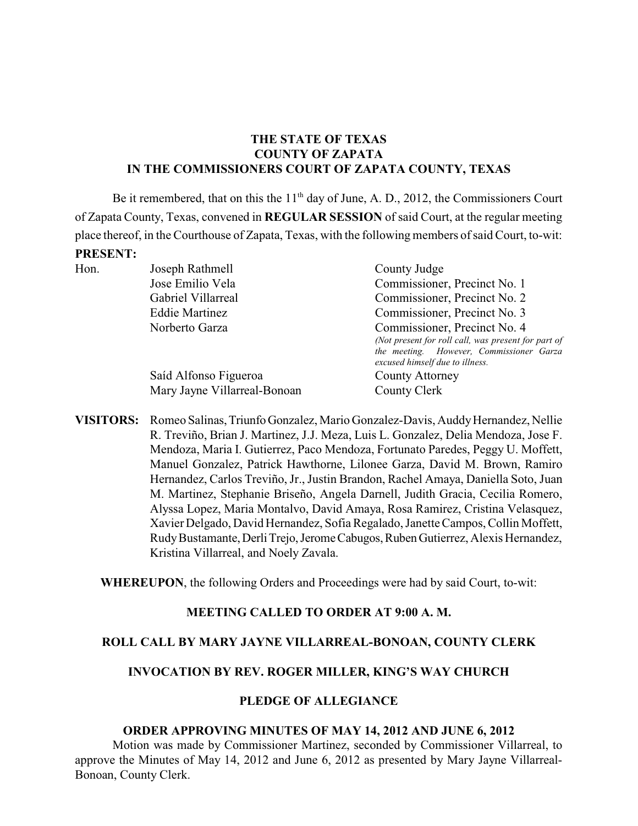# **THE STATE OF TEXAS COUNTY OF ZAPATA IN THE COMMISSIONERS COURT OF ZAPATA COUNTY, TEXAS**

Be it remembered, that on this the  $11<sup>th</sup>$  day of June, A. D., 2012, the Commissioners Court of Zapata County, Texas, convened in **REGULAR SESSION** of said Court, at the regular meeting place thereof, in the Courthouse of Zapata, Texas, with the following members of said Court, to-wit: **PRESENT:**

| Hon. | Joseph Rathmell              | County Judge                                                                |  |
|------|------------------------------|-----------------------------------------------------------------------------|--|
|      | Jose Emilio Vela             | Commissioner, Precinct No. 1                                                |  |
|      | Gabriel Villarreal           | Commissioner, Precinct No. 2                                                |  |
|      | <b>Eddie Martinez</b>        | Commissioner, Precinct No. 3                                                |  |
|      | Norberto Garza               | Commissioner, Precinct No. 4                                                |  |
|      |                              | (Not present for roll call, was present for part of                         |  |
|      |                              | the meeting. However, Commissioner Garza<br>excused himself due to illness. |  |
|      | Saíd Alfonso Figueroa        | <b>County Attorney</b>                                                      |  |
|      | Mary Jayne Villarreal-Bonoan | County Clerk                                                                |  |
|      |                              |                                                                             |  |

**VISITORS:** Romeo Salinas, Triunfo Gonzalez, Mario Gonzalez-Davis, Auddy Hernandez, Nellie R. Treviño, Brian J. Martinez, J.J. Meza, Luis L. Gonzalez, Delia Mendoza, Jose F. Mendoza, Maria I. Gutierrez, Paco Mendoza, Fortunato Paredes, Peggy U. Moffett, Manuel Gonzalez, Patrick Hawthorne, Lilonee Garza, David M. Brown, Ramiro Hernandez, Carlos Treviño, Jr., Justin Brandon, Rachel Amaya, Daniella Soto, Juan M. Martinez, Stephanie Briseño, Angela Darnell, Judith Gracia, Cecilia Romero, Alyssa Lopez, Maria Montalvo, David Amaya, Rosa Ramirez, Cristina Velasquez, Xavier Delgado, David Hernandez, Sofia Regalado, Janette Campos, Collin Moffett, RudyBustamante,DerliTrejo,JeromeCabugos,RubenGutierrez, Alexis Hernandez, Kristina Villarreal, and Noely Zavala.

**WHEREUPON**, the following Orders and Proceedings were had by said Court, to-wit:

#### **MEETING CALLED TO ORDER AT 9:00 A. M.**

#### **ROLL CALL BY MARY JAYNE VILLARREAL-BONOAN, COUNTY CLERK**

#### **INVOCATION BY REV. ROGER MILLER, KING'S WAY CHURCH**

#### **PLEDGE OF ALLEGIANCE**

#### **ORDER APPROVING MINUTES OF MAY 14, 2012 AND JUNE 6, 2012**

Motion was made by Commissioner Martinez, seconded by Commissioner Villarreal, to approve the Minutes of May 14, 2012 and June 6, 2012 as presented by Mary Jayne Villarreal-Bonoan, County Clerk.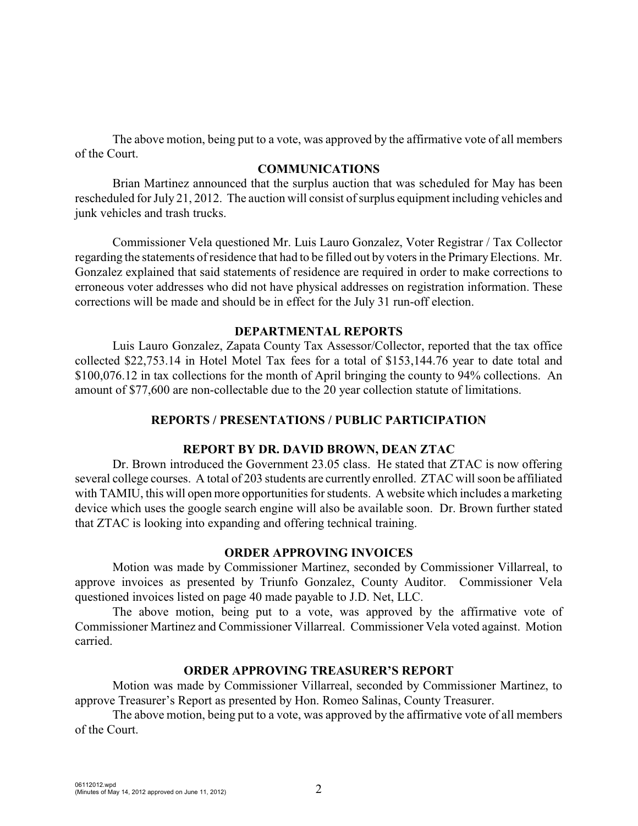The above motion, being put to a vote, was approved by the affirmative vote of all members of the Court.

#### **COMMUNICATIONS**

Brian Martinez announced that the surplus auction that was scheduled for May has been rescheduled for July 21, 2012. The auction will consist of surplus equipment including vehicles and junk vehicles and trash trucks.

Commissioner Vela questioned Mr. Luis Lauro Gonzalez, Voter Registrar / Tax Collector regarding the statements of residence that had to be filled out by voters in the Primary Elections. Mr. Gonzalez explained that said statements of residence are required in order to make corrections to erroneous voter addresses who did not have physical addresses on registration information. These corrections will be made and should be in effect for the July 31 run-off election.

#### **DEPARTMENTAL REPORTS**

Luis Lauro Gonzalez, Zapata County Tax Assessor/Collector, reported that the tax office collected \$22,753.14 in Hotel Motel Tax fees for a total of \$153,144.76 year to date total and \$100,076.12 in tax collections for the month of April bringing the county to 94% collections. An amount of \$77,600 are non-collectable due to the 20 year collection statute of limitations.

#### **REPORTS / PRESENTATIONS / PUBLIC PARTICIPATION**

#### **REPORT BY DR. DAVID BROWN, DEAN ZTAC**

Dr. Brown introduced the Government 23.05 class. He stated that ZTAC is now offering several college courses. A total of 203 students are currently enrolled. ZTAC will soon be affiliated with TAMIU, this will open more opportunities for students. A website which includes a marketing device which uses the google search engine will also be available soon. Dr. Brown further stated that ZTAC is looking into expanding and offering technical training.

#### **ORDER APPROVING INVOICES**

Motion was made by Commissioner Martinez, seconded by Commissioner Villarreal, to approve invoices as presented by Triunfo Gonzalez, County Auditor. Commissioner Vela questioned invoices listed on page 40 made payable to J.D. Net, LLC.

The above motion, being put to a vote, was approved by the affirmative vote of Commissioner Martinez and Commissioner Villarreal. Commissioner Vela voted against. Motion carried.

## **ORDER APPROVING TREASURER'S REPORT**

Motion was made by Commissioner Villarreal, seconded by Commissioner Martinez, to approve Treasurer's Report as presented by Hon. Romeo Salinas, County Treasurer.

The above motion, being put to a vote, was approved by the affirmative vote of all members of the Court.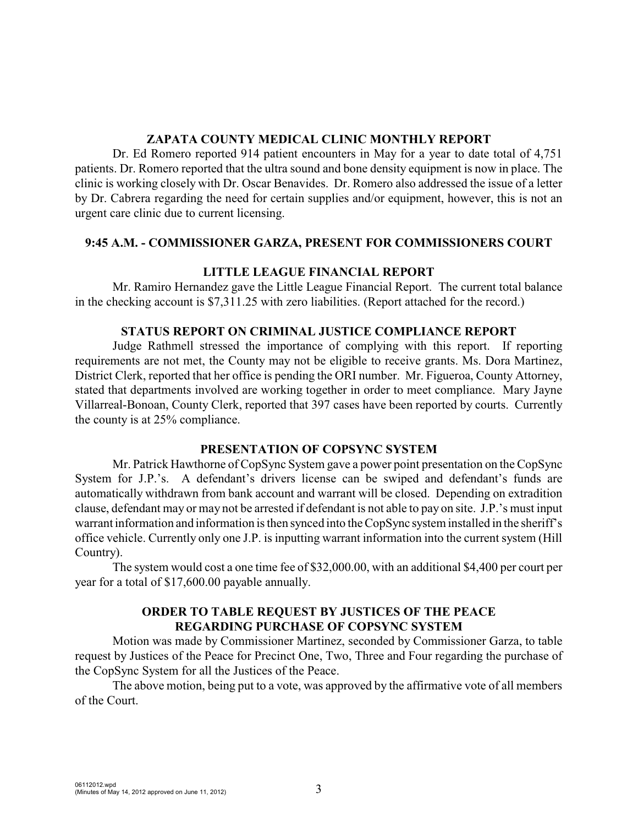## **ZAPATA COUNTY MEDICAL CLINIC MONTHLY REPORT**

Dr. Ed Romero reported 914 patient encounters in May for a year to date total of 4,751 patients. Dr. Romero reported that the ultra sound and bone density equipment is now in place. The clinic is working closely with Dr. Oscar Benavides. Dr. Romero also addressed the issue of a letter by Dr. Cabrera regarding the need for certain supplies and/or equipment, however, this is not an urgent care clinic due to current licensing.

## **9:45 A.M. - COMMISSIONER GARZA, PRESENT FOR COMMISSIONERS COURT**

# **LITTLE LEAGUE FINANCIAL REPORT**

Mr. Ramiro Hernandez gave the Little League Financial Report. The current total balance in the checking account is \$7,311.25 with zero liabilities. (Report attached for the record.)

## **STATUS REPORT ON CRIMINAL JUSTICE COMPLIANCE REPORT**

Judge Rathmell stressed the importance of complying with this report. If reporting requirements are not met, the County may not be eligible to receive grants. Ms. Dora Martinez, District Clerk, reported that her office is pending the ORI number. Mr. Figueroa, County Attorney, stated that departments involved are working together in order to meet compliance. Mary Jayne Villarreal-Bonoan, County Clerk, reported that 397 cases have been reported by courts. Currently the county is at 25% compliance.

# **PRESENTATION OF COPSYNC SYSTEM**

Mr. Patrick Hawthorne of CopSync System gave a power point presentation on the CopSync System for J.P.'s. A defendant's drivers license can be swiped and defendant's funds are automatically withdrawn from bank account and warrant will be closed. Depending on extradition clause, defendant may or may not be arrested if defendant is not able to pay on site. J.P.'s must input warrant information and information is then synced into the CopSync system installed in the sheriff's office vehicle. Currently only one J.P. is inputting warrant information into the current system (Hill Country).

The system would cost a one time fee of \$32,000.00, with an additional \$4,400 per court per year for a total of \$17,600.00 payable annually.

# **ORDER TO TABLE REQUEST BY JUSTICES OF THE PEACE REGARDING PURCHASE OF COPSYNC SYSTEM**

Motion was made by Commissioner Martinez, seconded by Commissioner Garza, to table request by Justices of the Peace for Precinct One, Two, Three and Four regarding the purchase of the CopSync System for all the Justices of the Peace.

The above motion, being put to a vote, was approved by the affirmative vote of all members of the Court.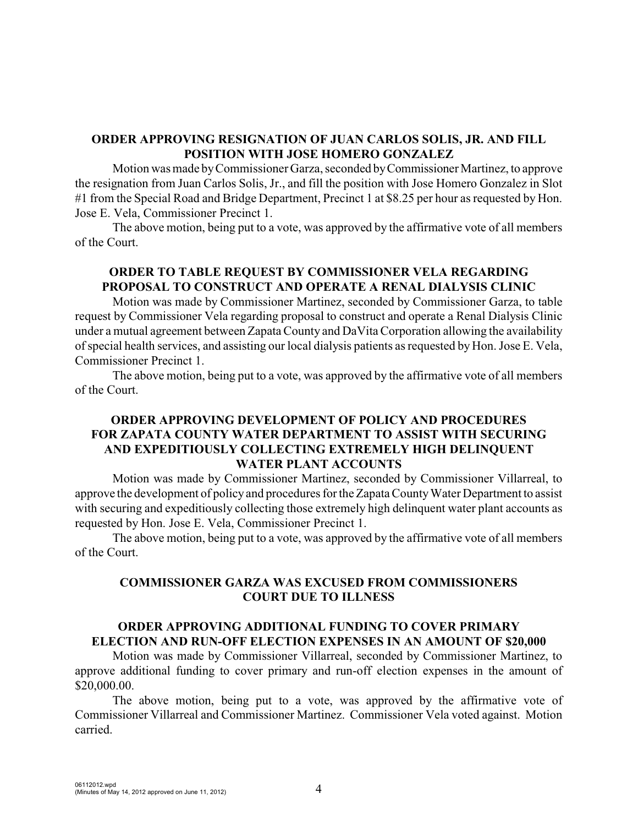## **ORDER APPROVING RESIGNATION OF JUAN CARLOS SOLIS, JR. AND FILL POSITION WITH JOSE HOMERO GONZALEZ**

Motion was made byCommissioner Garza, seconded byCommissioner Martinez, to approve the resignation from Juan Carlos Solis, Jr., and fill the position with Jose Homero Gonzalez in Slot #1 from the Special Road and Bridge Department, Precinct 1 at \$8.25 per hour as requested by Hon. Jose E. Vela, Commissioner Precinct 1.

The above motion, being put to a vote, was approved by the affirmative vote of all members of the Court.

# **ORDER TO TABLE REQUEST BY COMMISSIONER VELA REGARDING PROPOSAL TO CONSTRUCT AND OPERATE A RENAL DIALYSIS CLINIC**

Motion was made by Commissioner Martinez, seconded by Commissioner Garza, to table request by Commissioner Vela regarding proposal to construct and operate a Renal Dialysis Clinic under a mutual agreement between Zapata County and DaVita Corporation allowing the availability of special health services, and assisting our local dialysis patients as requested by Hon. Jose E. Vela, Commissioner Precinct 1.

The above motion, being put to a vote, was approved by the affirmative vote of all members of the Court.

## **ORDER APPROVING DEVELOPMENT OF POLICY AND PROCEDURES FOR ZAPATA COUNTY WATER DEPARTMENT TO ASSIST WITH SECURING AND EXPEDITIOUSLY COLLECTING EXTREMELY HIGH DELINQUENT WATER PLANT ACCOUNTS**

Motion was made by Commissioner Martinez, seconded by Commissioner Villarreal, to approve the development of policy and procedures for the Zapata County Water Department to assist with securing and expeditiously collecting those extremely high delinquent water plant accounts as requested by Hon. Jose E. Vela, Commissioner Precinct 1.

The above motion, being put to a vote, was approved by the affirmative vote of all members of the Court.

## **COMMISSIONER GARZA WAS EXCUSED FROM COMMISSIONERS COURT DUE TO ILLNESS**

# **ORDER APPROVING ADDITIONAL FUNDING TO COVER PRIMARY ELECTION AND RUN-OFF ELECTION EXPENSES IN AN AMOUNT OF \$20,000**

Motion was made by Commissioner Villarreal, seconded by Commissioner Martinez, to approve additional funding to cover primary and run-off election expenses in the amount of \$20,000.00.

The above motion, being put to a vote, was approved by the affirmative vote of Commissioner Villarreal and Commissioner Martinez. Commissioner Vela voted against. Motion carried.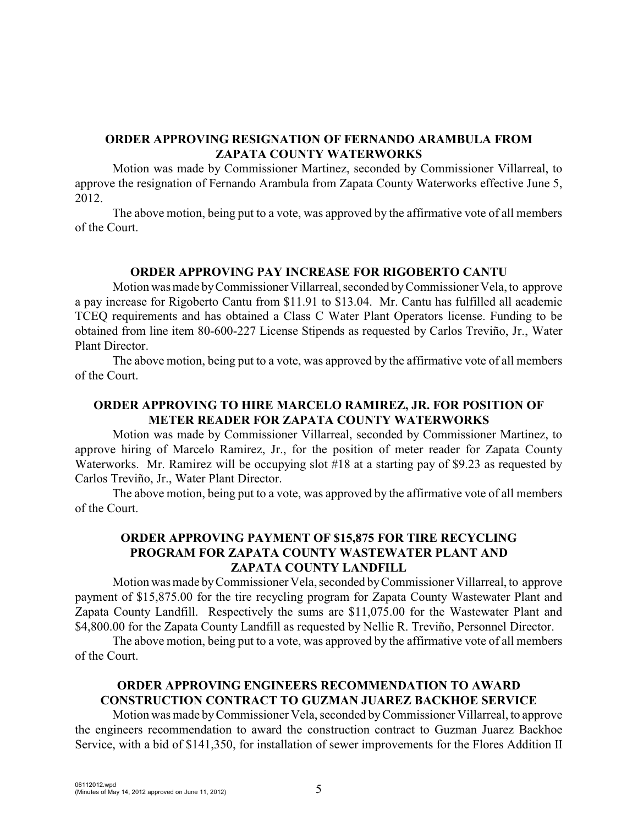## **ORDER APPROVING RESIGNATION OF FERNANDO ARAMBULA FROM ZAPATA COUNTY WATERWORKS**

Motion was made by Commissioner Martinez, seconded by Commissioner Villarreal, to approve the resignation of Fernando Arambula from Zapata County Waterworks effective June 5, 2012.

The above motion, being put to a vote, was approved by the affirmative vote of all members of the Court.

## **ORDER APPROVING PAY INCREASE FOR RIGOBERTO CANTU**

Motion was made byCommissioner Villarreal, seconded byCommissioner Vela, to approve a pay increase for Rigoberto Cantu from \$11.91 to \$13.04. Mr. Cantu has fulfilled all academic TCEQ requirements and has obtained a Class C Water Plant Operators license. Funding to be obtained from line item 80-600-227 License Stipends as requested by Carlos Treviño, Jr., Water Plant Director.

The above motion, being put to a vote, was approved by the affirmative vote of all members of the Court.

#### **ORDER APPROVING TO HIRE MARCELO RAMIREZ, JR. FOR POSITION OF METER READER FOR ZAPATA COUNTY WATERWORKS**

Motion was made by Commissioner Villarreal, seconded by Commissioner Martinez, to approve hiring of Marcelo Ramirez, Jr., for the position of meter reader for Zapata County Waterworks. Mr. Ramirez will be occupying slot #18 at a starting pay of \$9.23 as requested by Carlos Treviño, Jr., Water Plant Director.

The above motion, being put to a vote, was approved by the affirmative vote of all members of the Court.

## **ORDER APPROVING PAYMENT OF \$15,875 FOR TIRE RECYCLING PROGRAM FOR ZAPATA COUNTY WASTEWATER PLANT AND ZAPATA COUNTY LANDFILL**

Motion was made byCommissioner Vela, seconded byCommissioner Villarreal, to approve payment of \$15,875.00 for the tire recycling program for Zapata County Wastewater Plant and Zapata County Landfill. Respectively the sums are \$11,075.00 for the Wastewater Plant and \$4,800.00 for the Zapata County Landfill as requested by Nellie R. Treviño, Personnel Director.

The above motion, being put to a vote, was approved by the affirmative vote of all members of the Court.

# **ORDER APPROVING ENGINEERS RECOMMENDATION TO AWARD CONSTRUCTION CONTRACT TO GUZMAN JUAREZ BACKHOE SERVICE**

Motion was made byCommissioner Vela, seconded byCommissioner Villarreal, to approve the engineers recommendation to award the construction contract to Guzman Juarez Backhoe Service, with a bid of \$141,350, for installation of sewer improvements for the Flores Addition II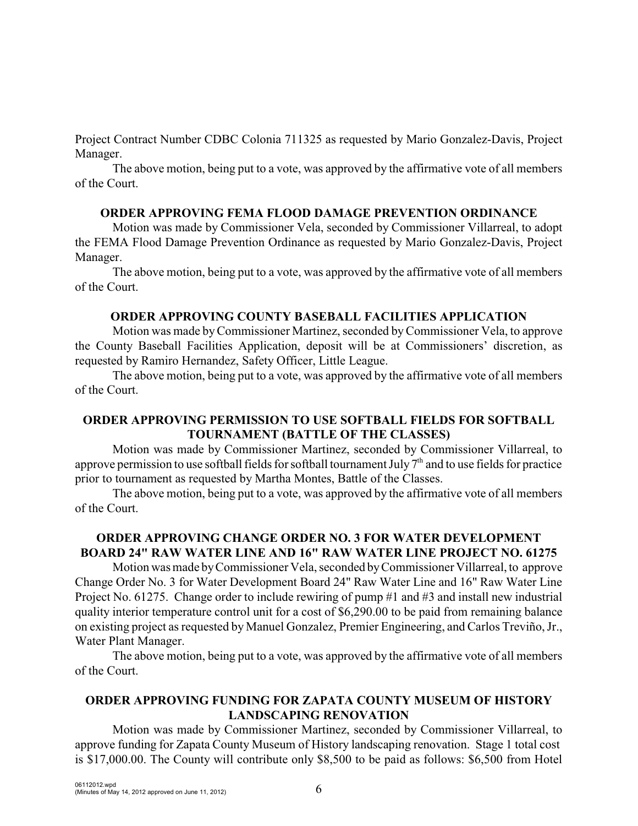Project Contract Number CDBC Colonia 711325 as requested by Mario Gonzalez-Davis, Project Manager.

The above motion, being put to a vote, was approved by the affirmative vote of all members of the Court.

## **ORDER APPROVING FEMA FLOOD DAMAGE PREVENTION ORDINANCE**

Motion was made by Commissioner Vela, seconded by Commissioner Villarreal, to adopt the FEMA Flood Damage Prevention Ordinance as requested by Mario Gonzalez-Davis, Project Manager.

The above motion, being put to a vote, was approved by the affirmative vote of all members of the Court.

# **ORDER APPROVING COUNTY BASEBALL FACILITIES APPLICATION**

Motion was made byCommissioner Martinez, seconded byCommissioner Vela, to approve the County Baseball Facilities Application, deposit will be at Commissioners' discretion, as requested by Ramiro Hernandez, Safety Officer, Little League.

The above motion, being put to a vote, was approved by the affirmative vote of all members of the Court.

# **ORDER APPROVING PERMISSION TO USE SOFTBALL FIELDS FOR SOFTBALL TOURNAMENT (BATTLE OF THE CLASSES)**

Motion was made by Commissioner Martinez, seconded by Commissioner Villarreal, to approve permission to use softball fields for softball tournament July  $7<sup>th</sup>$  and to use fields for practice prior to tournament as requested by Martha Montes, Battle of the Classes.

The above motion, being put to a vote, was approved by the affirmative vote of all members of the Court.

# **ORDER APPROVING CHANGE ORDER NO. 3 FOR WATER DEVELOPMENT BOARD 24" RAW WATER LINE AND 16" RAW WATER LINE PROJECT NO. 61275**

Motion was made byCommissioner Vela, seconded byCommissioner Villarreal, to approve Change Order No. 3 for Water Development Board 24" Raw Water Line and 16" Raw Water Line Project No. 61275. Change order to include rewiring of pump #1 and #3 and install new industrial quality interior temperature control unit for a cost of \$6,290.00 to be paid from remaining balance on existing project as requested by Manuel Gonzalez, Premier Engineering, and Carlos Treviño, Jr., Water Plant Manager.

The above motion, being put to a vote, was approved by the affirmative vote of all members of the Court.

# **ORDER APPROVING FUNDING FOR ZAPATA COUNTY MUSEUM OF HISTORY LANDSCAPING RENOVATION**

Motion was made by Commissioner Martinez, seconded by Commissioner Villarreal, to approve funding for Zapata County Museum of History landscaping renovation. Stage 1 total cost is \$17,000.00. The County will contribute only \$8,500 to be paid as follows: \$6,500 from Hotel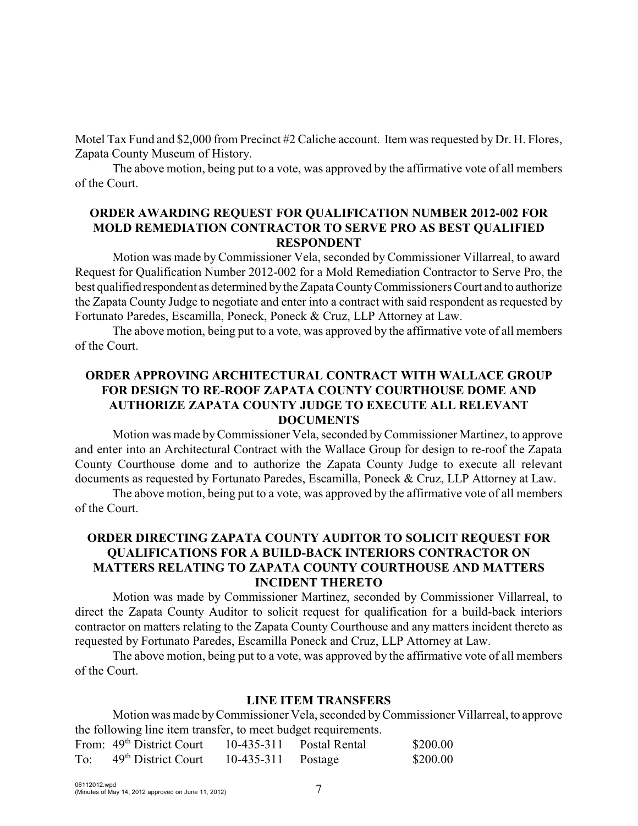Motel Tax Fund and \$2,000 from Precinct #2 Caliche account. Item was requested by Dr. H. Flores, Zapata County Museum of History.

The above motion, being put to a vote, was approved by the affirmative vote of all members of the Court.

# **ORDER AWARDING REQUEST FOR QUALIFICATION NUMBER 2012-002 FOR MOLD REMEDIATION CONTRACTOR TO SERVE PRO AS BEST QUALIFIED RESPONDENT**

Motion was made by Commissioner Vela, seconded by Commissioner Villarreal, to award Request for Qualification Number 2012-002 for a Mold Remediation Contractor to Serve Pro, the best qualified respondent as determined by the Zapata County Commissioners Court and to authorize the Zapata County Judge to negotiate and enter into a contract with said respondent as requested by Fortunato Paredes, Escamilla, Poneck, Poneck & Cruz, LLP Attorney at Law.

The above motion, being put to a vote, was approved by the affirmative vote of all members of the Court.

# **ORDER APPROVING ARCHITECTURAL CONTRACT WITH WALLACE GROUP FOR DESIGN TO RE-ROOF ZAPATA COUNTY COURTHOUSE DOME AND AUTHORIZE ZAPATA COUNTY JUDGE TO EXECUTE ALL RELEVANT DOCUMENTS**

Motion was made byCommissioner Vela, seconded byCommissioner Martinez, to approve and enter into an Architectural Contract with the Wallace Group for design to re-roof the Zapata County Courthouse dome and to authorize the Zapata County Judge to execute all relevant documents as requested by Fortunato Paredes, Escamilla, Poneck & Cruz, LLP Attorney at Law.

The above motion, being put to a vote, was approved by the affirmative vote of all members of the Court.

# **ORDER DIRECTING ZAPATA COUNTY AUDITOR TO SOLICIT REQUEST FOR QUALIFICATIONS FOR A BUILD-BACK INTERIORS CONTRACTOR ON MATTERS RELATING TO ZAPATA COUNTY COURTHOUSE AND MATTERS INCIDENT THERETO**

Motion was made by Commissioner Martinez, seconded by Commissioner Villarreal, to direct the Zapata County Auditor to solicit request for qualification for a build-back interiors contractor on matters relating to the Zapata County Courthouse and any matters incident thereto as requested by Fortunato Paredes, Escamilla Poneck and Cruz, LLP Attorney at Law.

The above motion, being put to a vote, was approved by the affirmative vote of all members of the Court.

## **LINE ITEM TRANSFERS**

Motion was made byCommissioner Vela, seconded byCommissioner Villarreal, to approve the following line item transfer, to meet budget requirements.

|     | From: 49 <sup>th</sup> District Court | 10-435-311         | Postal Rental | \$200.00 |
|-----|---------------------------------------|--------------------|---------------|----------|
| To: | 49 <sup>th</sup> District Court       | 10-435-311 Postage |               | \$200.00 |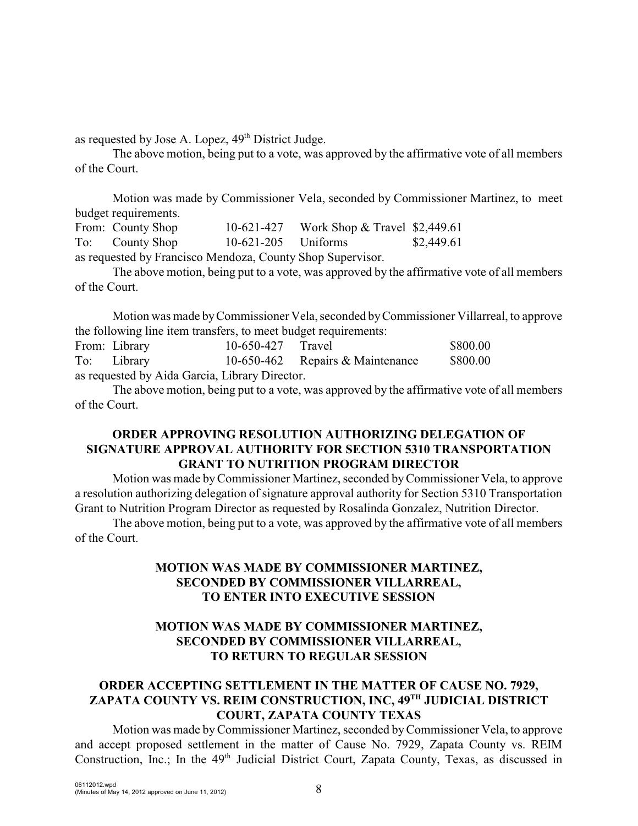as requested by Jose A. Lopez,  $49<sup>th</sup>$  District Judge.

The above motion, being put to a vote, was approved by the affirmative vote of all members of the Court.

Motion was made by Commissioner Vela, seconded by Commissioner Martinez, to meet budget requirements.

From: County Shop 10-621-427 Work Shop & Travel \$2,449.61 To: County Shop 10-621-205 Uniforms \$2,449.61 as requested by Francisco Mendoza, County Shop Supervisor.

The above motion, being put to a vote, was approved by the affirmative vote of all members of the Court.

Motion was made byCommissioner Vela, seconded byCommissioner Villarreal, to approve the following line item transfers, to meet budget requirements:

From: Library 10-650-427 Travel \$800.00 To: Library 10-650-462 Repairs & Maintenance \$800.00 as requested by Aida Garcia, Library Director.

The above motion, being put to a vote, was approved by the affirmative vote of all members of the Court.

## **ORDER APPROVING RESOLUTION AUTHORIZING DELEGATION OF SIGNATURE APPROVAL AUTHORITY FOR SECTION 5310 TRANSPORTATION GRANT TO NUTRITION PROGRAM DIRECTOR**

Motion was made byCommissioner Martinez, seconded byCommissioner Vela, to approve a resolution authorizing delegation of signature approval authority for Section 5310 Transportation Grant to Nutrition Program Director as requested by Rosalinda Gonzalez, Nutrition Director.

The above motion, being put to a vote, was approved by the affirmative vote of all members of the Court.

# **MOTION WAS MADE BY COMMISSIONER MARTINEZ, SECONDED BY COMMISSIONER VILLARREAL, TO ENTER INTO EXECUTIVE SESSION**

# **MOTION WAS MADE BY COMMISSIONER MARTINEZ, SECONDED BY COMMISSIONER VILLARREAL, TO RETURN TO REGULAR SESSION**

# **ORDER ACCEPTING SETTLEMENT IN THE MATTER OF CAUSE NO. 7929,** ZAPATA COUNTY VS. REIM CONSTRUCTION, INC, 49<sup>TH</sup> JUDICIAL DISTRICT **COURT, ZAPATA COUNTY TEXAS**

Motion was made byCommissioner Martinez, seconded byCommissioner Vela, to approve and accept proposed settlement in the matter of Cause No. 7929, Zapata County vs. REIM Construction, Inc.; In the 49<sup>th</sup> Judicial District Court, Zapata County, Texas, as discussed in